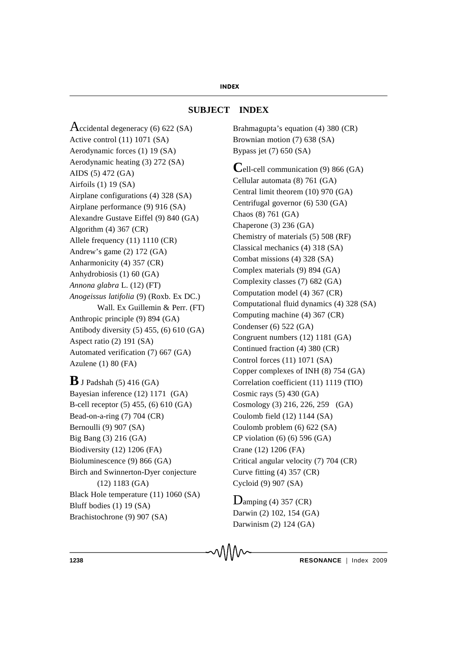# **SUBJECT INDEX**

Accidental degeneracy  $(6)$  622  $(SA)$ Active control (11) 1071 (SA) Aerodynamic forces (1) 19 (SA) Aerodynamic heating (3) 272 (SA) AIDS (5) 472 (GA) Airfoils (1) 19 (SA) Airplane configurations (4) 328 (SA) Airplane performance (9) 916 (SA) Alexandre Gustave Eiffel (9) 840 (GA) Algorithm (4) 367 (CR) Allele frequency (11) 1110 (CR) Andrew's game (2) 172 (GA) Anharmonicity (4) 357 (CR) Anhydrobiosis (1) 60 (GA) *Annona glabra* L. (12) (FT) *Anogeissus latifolia* (9) (Roxb. Ex DC.) Wall. Ex Guillemin & Perr. (FT) Anthropic principle (9) 894 (GA) Antibody diversity (5) 455, (6) 610 (GA) Aspect ratio (2) 191 (SA) Automated verification (7) 667 (GA) Azulene (1) 80 (FA)

 $\bf{B}$  J Padshah (5) 416 (GA) Bayesian inference (12) 1171 (GA) B-cell receptor (5) 455, (6) 610 (GA) Bead-on-a-ring (7) 704 (CR) Bernoulli (9) 907 (SA) Big Bang (3) 216 (GA) Biodiversity (12) 1206 (FA) Bioluminescence (9) 866 (GA) Birch and Swinnerton-Dyer conjecture (12) 1183 (GA) Black Hole temperature (11) 1060 (SA) Bluff bodies (1) 19 (SA) Brachistochrone (9) 907 (SA)

Brahmagupta's equation (4) 380 (CR) Brownian motion (7) 638 (SA) Bypass jet (7) 650 (SA)

**C**ell-cell communication (9) 866 (GA) Cellular automata (8) 761 (GA) Central limit theorem (10) 970 (GA) Centrifugal governor (6) 530 (GA) Chaos (8) 761 (GA) Chaperone (3) 236 (GA) Chemistry of materials (5) 508 (RF) Classical mechanics (4) 318 (SA) Combat missions (4) 328 (SA) Complex materials (9) 894 (GA) Complexity classes (7) 682 (GA) Computation model (4) 367 (CR) Computational fluid dynamics (4) 328 (SA) Computing machine (4) 367 (CR) Condenser (6) 522 (GA) Congruent numbers (12) 1181 (GA) Continued fraction (4) 380 (CR) Control forces (11) 1071 (SA) Copper complexes of INH (8) 754 (GA) Correlation coefficient (11) 1119 (TIO) Cosmic rays  $(5)$  430  $(GA)$ Cosmology (3) 216, 226, 259 (GA) Coulomb field (12) 1144 (SA) Coulomb problem (6) 622 (SA) CP violation (6) (6) 596 (GA) Crane (12) 1206 (FA) Critical angular velocity (7) 704 (CR) Curve fitting (4) 357 (CR) Cycloid (9) 907 (SA)

 $D$ amping (4) 357 (CR) Darwin (2) 102, 154 (GA) Darwinism (2) 124 (GA)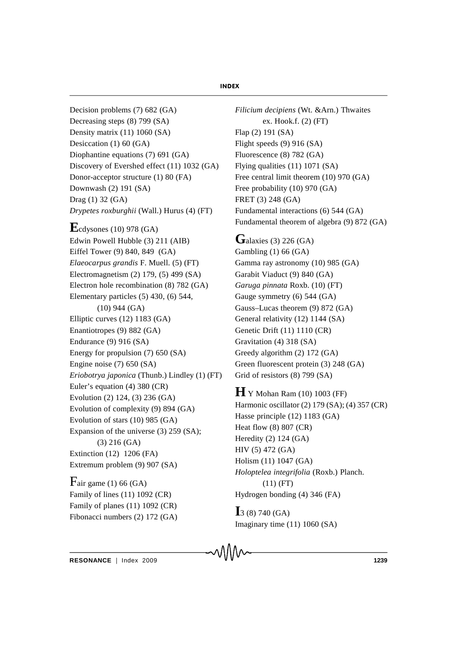Decision problems (7) 682 (GA) Decreasing steps (8) 799 (SA) Density matrix (11) 1060 (SA) Desiccation (1) 60 (GA) Diophantine equations (7) 691 (GA) Discovery of Evershed effect (11) 1032 (GA) Donor-acceptor structure (1) 80 (FA) Downwash (2) 191 (SA) Drag (1) 32 (GA) *Drypetes roxburghii* (Wall.) Hurus (4) (FT) **E**cdysones (10) 978 (GA) Edwin Powell Hubble (3) 211 (AIB) Eiffel Tower (9) 840, 849 (GA) *Elaeocarpus grandis* F. Muell. (5) (FT) Electromagnetism (2) 179, (5) 499 (SA)

Electron hole recombination (8) 782 (GA) Elementary particles (5) 430, (6) 544, (10) 944 (GA) Elliptic curves (12) 1183 (GA) Enantiotropes (9) 882 (GA) Endurance (9) 916 (SA) Energy for propulsion (7) 650 (SA) Engine noise (7) 650 (SA) *Eriobotrya japonica* (Thunb.) Lindley (1) (FT) Euler's equation (4) 380 (CR) Evolution (2) 124, (3) 236 (GA) Evolution of complexity (9) 894 (GA) Evolution of stars (10) 985 (GA) Expansion of the universe (3) 259 (SA); (3) 216 (GA) Extinction (12) 1206 (FA) Extremum problem (9) 907 (SA)

Fair game  $(1)$  66 (GA) Family of lines (11) 1092 (CR) Family of planes (11) 1092 (CR) Fibonacci numbers (2) 172 (GA) *Filicium decipiens* (Wt. &Arn.) Thwaites ex. Hook.f. (2) (FT) Flap (2) 191 (SA) Flight speeds (9) 916 (SA) Fluorescence (8) 782 (GA) Flying qualities (11) 1071 (SA) Free central limit theorem (10) 970 (GA) Free probability (10) 970 (GA) FRET (3) 248 (GA) Fundamental interactions (6) 544 (GA) Fundamental theorem of algebra (9) 872 (GA)

# Galaxies (3) 226 (GA)

Gambling (1) 66 (GA) Gamma ray astronomy (10) 985 (GA) Garabit Viaduct (9) 840 (GA) *Garuga pinnata* Roxb. (10) (FT) Gauge symmetry (6) 544 (GA) Gauss–Lucas theorem (9) 872 (GA) General relativity (12) 1144 (SA) Genetic Drift (11) 1110 (CR) Gravitation (4) 318 (SA) Greedy algorithm (2) 172 (GA) Green fluorescent protein (3) 248 (GA) Grid of resistors (8) 799 (SA)

**H**Y Mohan Ram (10) 1003 (FF) Harmonic oscillator (2) 179 (SA); (4) 357 (CR) Hasse principle (12) 1183 (GA) Heat flow (8) 807 (CR) Heredity (2) 124 (GA) HIV (5) 472 (GA) Holism (11) 1047 (GA) *Holoptelea integrifolia* (Roxb.) Planch. (11) (FT) Hydrogen bonding (4) 346 (FA)

**I**<sub>3</sub> (8) 740 (GA) Imaginary time (11) 1060 (SA)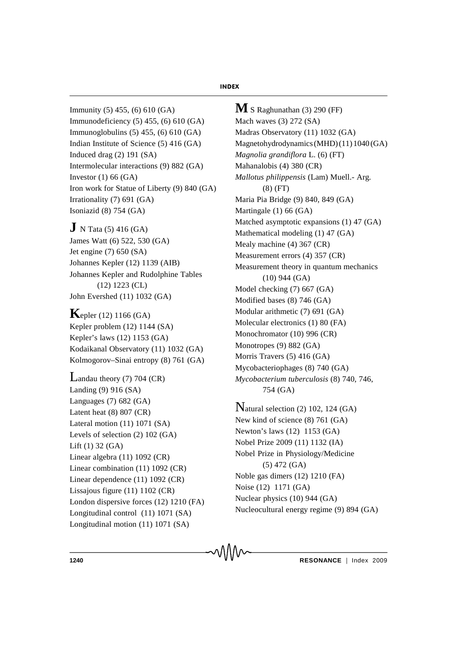Immunity (5) 455, (6) 610 (GA) Immunodeficiency (5) 455, (6) 610 (GA) Immunoglobulins (5) 455, (6) 610 (GA) Indian Institute of Science (5) 416 (GA) Induced drag (2) 191 (SA) Intermolecular interactions (9) 882 (GA) Investor  $(1)$  66  $(GA)$ Iron work for Statue of Liberty (9) 840 (GA) Irrationality (7) 691 (GA) Isoniazid (8) 754 (GA)

**J** N Tata (5) 416 (GA) James Watt (6) 522, 530 (GA) Jet engine (7) 650 (SA) Johannes Kepler (12) 1139 (AIB) Johannes Kepler and Rudolphine Tables (12) 1223 (CL) John Evershed (11) 1032 (GA)

**K**epler (12) 1166 (GA) Kepler problem (12) 1144 (SA) Kepler's laws (12) 1153 (GA) Kodaikanal Observatory (11) 1032 (GA) Kolmogorov–Sinai entropy (8) 761 (GA)

Landau theory (7) 704 (CR) Landing (9) 916 (SA) Languages (7) 682 (GA) Latent heat (8) 807 (CR) Lateral motion (11) 1071 (SA) Levels of selection (2) 102 (GA) Lift (1) 32 (GA) Linear algebra (11) 1092 (CR) Linear combination (11) 1092 (CR) Linear dependence (11) 1092 (CR) Lissajous figure (11) 1102 (CR) London dispersive forces (12) 1210 (FA) Longitudinal control (11) 1071 (SA) Longitudinal motion (11) 1071 (SA)

**M** S Raghunathan (3) 290 (FF) Mach waves (3) 272 (SA) Madras Observatory (11) 1032 (GA) Magnetohydrodynamics (MHD) (11) 1040 (GA) *Magnolia grandiflora* L. (6) (FT) Mahanalobis (4) 380 (CR) *Mallotus philippensis* (Lam) Muell.- Arg. (8) (FT) Maria Pia Bridge (9) 840, 849 (GA) Martingale (1) 66 (GA) Matched asymptotic expansions (1) 47 (GA) Mathematical modeling (1) 47 (GA) Mealy machine (4) 367 (CR) Measurement errors (4) 357 (CR) Measurement theory in quantum mechanics (10) 944 (GA) Model checking (7) 667 (GA) Modified bases (8) 746 (GA) Modular arithmetic (7) 691 (GA) Molecular electronics (1) 80 (FA) Monochromator (10) 996 (CR) Monotropes (9) 882 (GA) Morris Travers (5) 416 (GA) Mycobacteriophages (8) 740 (GA) *Mycobacterium tuberculosis* (8) 740, 746, 754 (GA)

Natural selection (2) 102, 124 (GA) New kind of science (8) 761 (GA) Newton's laws (12) 1153 (GA) Nobel Prize 2009 (11) 1132 (IA) Nobel Prize in Physiology/Medicine (5) 472 (GA) Noble gas dimers (12) 1210 (FA) Noise (12) 1171 (GA) Nuclear physics (10) 944 (GA) Nucleocultural energy regime (9) 894 (GA)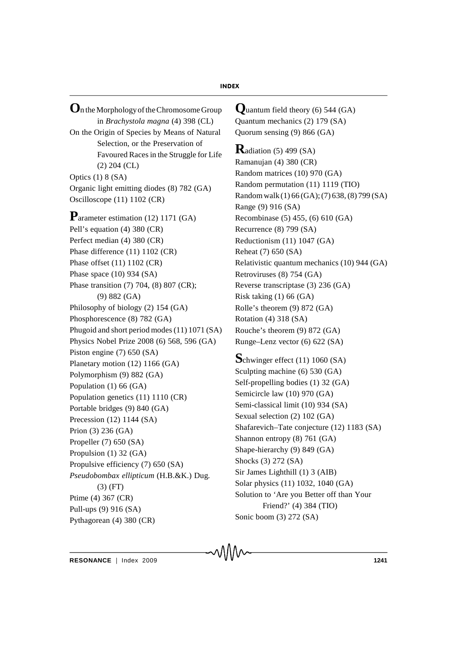**O**n the Morphologyof the Chromosome Group in *Brachystola magna* (4) 398 (CL) On the Origin of Species by Means of Natural Selection, or the Preservation of Favoured Races in the Struggle for Life (2) 204 (CL) Optics (1) 8 (SA) Organic light emitting diodes (8) 782 (GA) Oscilloscope (11) 1102 (CR) **P**arameter estimation (12) 1171 (GA)

Pell's equation (4) 380 (CR) Perfect median (4) 380 (CR) Phase difference (11) 1102 (CR) Phase offset (11) 1102 (CR) Phase space (10) 934 (SA) Phase transition (7) 704, (8) 807 (CR); (9) 882 (GA) Philosophy of biology (2) 154 (GA) Phosphorescence (8) 782 (GA) Phugoid and short period modes (11) 1071 (SA) Physics Nobel Prize 2008 (6) 568, 596 (GA) Piston engine (7) 650 (SA) Planetary motion (12) 1166 (GA) Polymorphism (9) 882 (GA) Population (1) 66 (GA) Population genetics (11) 1110 (CR) Portable bridges (9) 840 (GA) Precession (12) 1144 (SA) Prion (3) 236 (GA) Propeller (7) 650 (SA) Propulsion (1) 32 (GA) Propulsive efficiency (7) 650 (SA) *Pseudobombax ellipticum* (H.B.&K.) Dug. (3) (FT) Ptime (4) 367 (CR) Pull-ups (9) 916 (SA) Pythagorean (4) 380 (CR)

**Q**uantum field theory (6) 544 (GA) Quantum mechanics (2) 179 (SA) Quorum sensing (9) 866 (GA) **R**adiation (5) 499 (SA) Ramanujan (4) 380 (CR) Random matrices (10) 970 (GA) Random permutation (11) 1119 (TIO) Random walk (1) 66 (GA); (7) 638, (8) 799 (SA) Range (9) 916 (SA) Recombinase (5) 455, (6) 610 (GA) Recurrence (8) 799 (SA) Reductionism (11) 1047 (GA) Reheat (7) 650 (SA) Relativistic quantum mechanics (10) 944 (GA) Retroviruses (8) 754 (GA) Reverse transcriptase (3) 236 (GA) Risk taking (1) 66 (GA) Rolle's theorem (9) 872 (GA) Rotation (4) 318 (SA) Rouche's theorem (9) 872 (GA) Runge–Lenz vector (6) 622 (SA)

**S**chwinger effect (11) 1060 (SA) Sculpting machine (6) 530 (GA) Self-propelling bodies (1) 32 (GA) Semicircle law (10) 970 (GA) Semi-classical limit (10) 934 (SA) Sexual selection (2) 102 (GA) Shafarevich–Tate conjecture (12) 1183 (SA) Shannon entropy (8) 761 (GA) Shape-hierarchy (9) 849 (GA) Shocks (3) 272 (SA) Sir James Lighthill (1) 3 (AIB) Solar physics (11) 1032, 1040 (GA) Solution to 'Are you Better off than Your Friend?' (4) 384 (TIO) Sonic boom (3) 272 (SA)

**RESONANCE** | Index 2009 **1241**